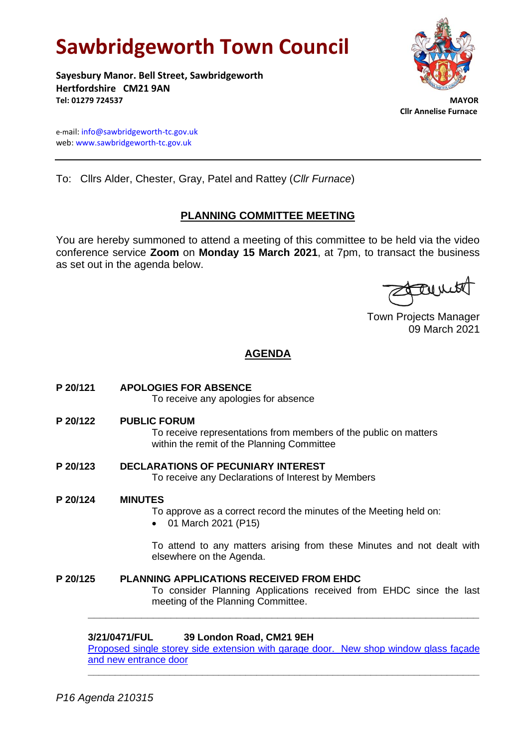# **Sawbridgeworth Town Council**

**Sayesbury Manor. Bell Street, Sawbridgeworth Hertfordshire CM21 9AN Tel: 01279 724537 MAYOR**



 **Cllr Annelise Furnace**

e-mail[: info@sawbridgeworth-tc.gov.uk](mailto:info@sawbridgeworth-tc.gov.uk) web: www.sawbridgeworth-tc.gov.uk

To: Cllrs Alder, Chester, Gray, Patel and Rattey (*Cllr Furnace*)

# **PLANNING COMMITTEE MEETING**

You are hereby summoned to attend a meeting of this committee to be held via the video conference service **Zoom** on **Monday 15 March 2021**, at 7pm, to transact the business as set out in the agenda below.

family

Town Projects Manager 09 March 2021

# **AGENDA**

| P 20/121 | <b>APOLOGIES FOR ABSENCE</b><br>To receive any apologies for absence                                                                                         |
|----------|--------------------------------------------------------------------------------------------------------------------------------------------------------------|
| P 20/122 | <b>PUBLIC FORUM</b><br>To receive representations from members of the public on matters<br>within the remit of the Planning Committee                        |
| P 20/123 | <b>DECLARATIONS OF PECUNIARY INTEREST</b><br>To receive any Declarations of Interest by Members                                                              |
| P 20/124 | <b>MINUTES</b><br>To approve as a correct record the minutes of the Meeting held on:<br>01 March 2021 (P15)                                                  |
|          | To attend to any matters arising from these Minutes and not dealt with<br>elsewhere on the Agenda.                                                           |
| P 20/125 | <b>PLANNING APPLICATIONS RECEIVED FROM EHDC</b><br>To consider Planning Applications received from EHDC since the last<br>meeting of the Planning Committee. |
|          | 39 London Road, CM21 9EH<br>3/21/0471/FUL<br>.                                                                                                               |

[Proposed single storey side extension with garage door. New shop window glass façade](https://publicaccess.eastherts.gov.uk/online-applications/applicationDetails.do?activeTab=documents&keyVal=QP0WZ9GLL4500) [and new entrance door](https://publicaccess.eastherts.gov.uk/online-applications/applicationDetails.do?activeTab=documents&keyVal=QP0WZ9GLL4500) **\_\_\_\_\_\_\_\_\_\_\_\_\_\_\_\_\_\_\_\_\_\_\_\_\_\_\_\_\_\_\_\_\_\_\_\_\_\_\_\_\_\_\_\_\_\_\_\_\_\_\_\_\_\_\_\_\_\_\_\_\_\_\_\_\_\_\_\_\_\_\_\_**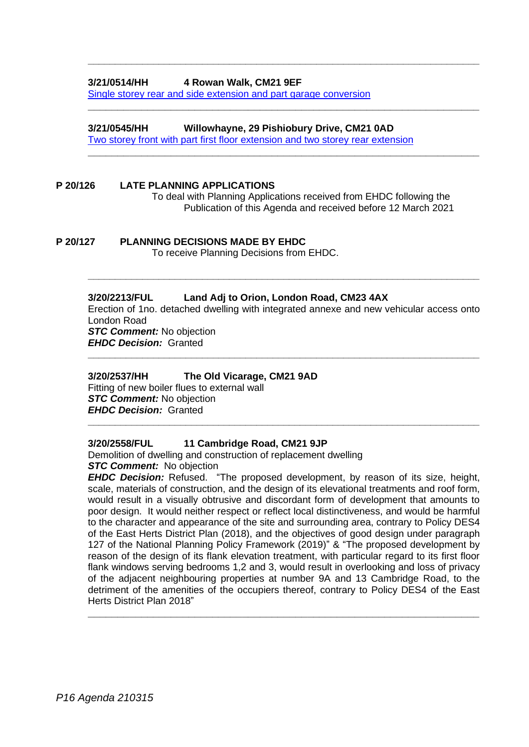# **3/21/0514/HH 4 Rowan Walk, CM21 9EF**

[Single storey rear and side extension and part garage conversion](https://publicaccess.eastherts.gov.uk/online-applications/applicationDetails.do?activeTab=documents&keyVal=QPC10OGLL7500)

#### **3/21/0545/HH Willowhayne, 29 Pishiobury Drive, CM21 0AD**

[Two storey front with part first floor extension and two storey](https://publicaccess.eastherts.gov.uk/online-applications/applicationDetails.do?activeTab=documents&keyVal=QPFQCZGLL8Z00) rear extension

**\_\_\_\_\_\_\_\_\_\_\_\_\_\_\_\_\_\_\_\_\_\_\_\_\_\_\_\_\_\_\_\_\_\_\_\_\_\_\_\_\_\_\_\_\_\_\_\_\_\_\_\_\_\_\_\_\_\_\_\_\_\_\_\_\_\_\_\_\_\_\_\_**

**\_\_\_\_\_\_\_\_\_\_\_\_\_\_\_\_\_\_\_\_\_\_\_\_\_\_\_\_\_\_\_\_\_\_\_\_\_\_\_\_\_\_\_\_\_\_\_\_\_\_\_\_\_\_\_\_\_\_\_\_\_\_\_\_\_\_**

**\_\_\_\_\_\_\_\_\_\_\_\_\_\_\_\_\_\_\_\_\_\_\_\_\_\_\_\_\_\_\_\_\_\_\_\_\_\_\_\_\_\_\_\_\_\_\_\_\_\_\_\_\_\_\_\_\_\_\_\_\_\_\_\_\_\_**

#### **P 20/126 LATE PLANNING APPLICATIONS**

To deal with Planning Applications received from EHDC following the Publication of this Agenda and received before 12 March 2021

**P 20/127 PLANNING DECISIONS MADE BY EHDC** To receive Planning Decisions from EHDC.

#### **3/20/2213/FUL Land Adj to Orion, London Road, CM23 4AX**

Erection of 1no. detached dwelling with integrated annexe and new vehicular access onto London Road *STC Comment:* No objection *EHDC Decision:* Granted

**\_\_\_\_\_\_\_\_\_\_\_\_\_\_\_\_\_\_\_\_\_\_\_\_\_\_\_\_\_\_\_\_\_\_\_\_\_\_\_\_\_\_\_\_\_\_\_\_\_\_\_\_\_\_\_\_\_\_\_\_\_\_\_\_\_\_\_\_\_\_\_\_**

**\_\_\_\_\_\_\_\_\_\_\_\_\_\_\_\_\_\_\_\_\_\_\_\_\_\_\_\_\_\_\_\_\_\_\_\_\_\_\_\_\_\_\_\_\_\_\_\_\_\_\_\_\_\_\_\_\_\_\_\_\_\_\_\_\_\_\_\_\_\_\_\_**

**\_\_\_\_\_\_\_\_\_\_\_\_\_\_\_\_\_\_\_\_\_\_\_\_\_\_\_\_\_\_\_\_\_\_\_\_\_\_\_\_\_\_\_\_\_\_\_\_\_\_\_\_\_\_\_\_\_\_\_\_\_\_\_\_\_\_\_\_\_\_\_\_**

#### **3/20/2537/HH The Old Vicarage, CM21 9AD**

Fitting of new boiler flues to external wall *STC Comment:* No objection *EHDC Decision:* Granted

#### **3/20/2558/FUL 11 Cambridge Road, CM21 9JP**

Demolition of dwelling and construction of replacement dwelling **STC Comment:** No objection

*EHDC Decision:* Refused. "The proposed development, by reason of its size, height, scale, materials of construction, and the design of its elevational treatments and roof form, would result in a visually obtrusive and discordant form of development that amounts to poor design. It would neither respect or reflect local distinctiveness, and would be harmful to the character and appearance of the site and surrounding area, contrary to Policy DES4 of the East Herts District Plan (2018), and the objectives of good design under paragraph 127 of the National Planning Policy Framework (2019)" & "The proposed development by reason of the design of its flank elevation treatment, with particular regard to its first floor flank windows serving bedrooms 1,2 and 3, would result in overlooking and loss of privacy of the adjacent neighbouring properties at number 9A and 13 Cambridge Road, to the detriment of the amenities of the occupiers thereof, contrary to Policy DES4 of the East Herts District Plan 2018"

**\_\_\_\_\_\_\_\_\_\_\_\_\_\_\_\_\_\_\_\_\_\_\_\_\_\_\_\_\_\_\_\_\_\_\_\_\_\_\_\_\_\_\_\_\_\_\_\_\_\_\_\_\_\_\_\_\_\_\_\_\_\_\_\_\_\_**